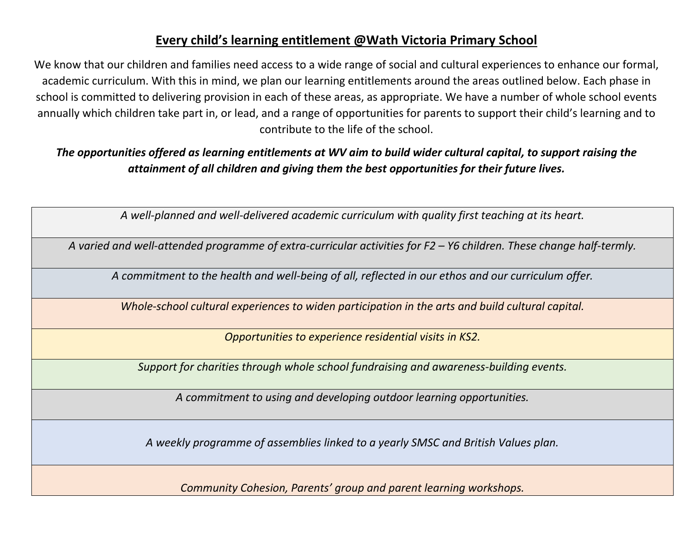# **Every child's learning entitlement @Wath Victoria Primary School**

We know that our children and families need access to a wide range of social and cultural experiences to enhance our formal, academic curriculum. With this in mind, we plan our learning entitlements around the areas outlined below. Each phase in school is committed to delivering provision in each of these areas, as appropriate. We have a number of whole school events annually which children take part in, or lead, and a range of opportunities for parents to support their child's learning and to contribute to the life of the school.

*The opportunities offered as learning entitlements at WV aim to build wider cultural capital, to support raising the attainment of all children and giving them the best opportunities for their future lives.*

*A well-planned and well-delivered academic curriculum with quality first teaching at its heart.*

*A varied and well-attended programme of extra-curricular activities for F2 – Y6 children. These change half-termly.*

*A commitment to the health and well-being of all, reflected in our ethos and our curriculum offer.*

*Whole-school cultural experiences to widen participation in the arts and build cultural capital.*

*Opportunities to experience residential visits in KS2.*

*Support for charities through whole school fundraising and awareness-building events.*

*A commitment to using and developing outdoor learning opportunities.*

*A weekly programme of assemblies linked to a yearly SMSC and British Values plan.* 

*Community Cohesion, Parents' group and parent learning workshops.*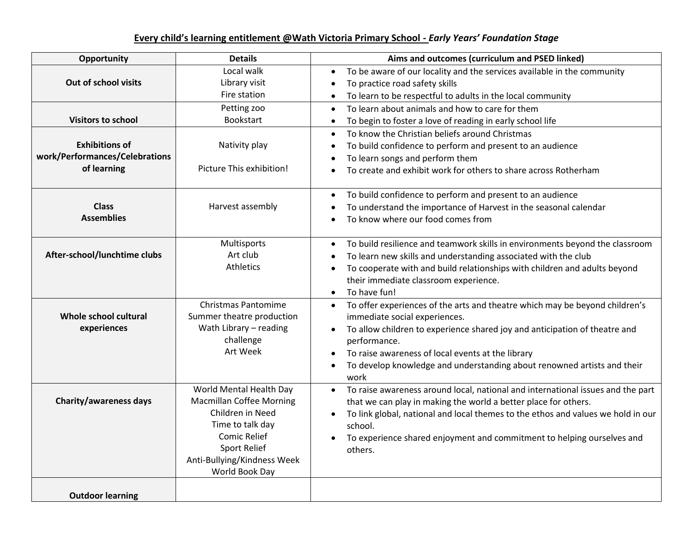## **Every child's learning entitlement @Wath Victoria Primary School -** *Early Years' Foundation Stage*

| Opportunity                                                            | <b>Details</b>                                                                                                                                                                                    | Aims and outcomes (curriculum and PSED linked)                                                                                                                                                                                                                                                                                                                  |
|------------------------------------------------------------------------|---------------------------------------------------------------------------------------------------------------------------------------------------------------------------------------------------|-----------------------------------------------------------------------------------------------------------------------------------------------------------------------------------------------------------------------------------------------------------------------------------------------------------------------------------------------------------------|
| Out of school visits                                                   | Local walk<br>Library visit<br>Fire station                                                                                                                                                       | To be aware of our locality and the services available in the community<br>To practice road safety skills<br>To learn to be respectful to adults in the local community                                                                                                                                                                                         |
| <b>Visitors to school</b>                                              | Petting zoo<br>Bookstart                                                                                                                                                                          | To learn about animals and how to care for them<br>$\bullet$<br>To begin to foster a love of reading in early school life<br>$\bullet$                                                                                                                                                                                                                          |
| <b>Exhibitions of</b><br>work/Performances/Celebrations<br>of learning | Nativity play<br>Picture This exhibition!                                                                                                                                                         | To know the Christian beliefs around Christmas<br>$\bullet$<br>To build confidence to perform and present to an audience<br>$\bullet$<br>To learn songs and perform them<br>To create and exhibit work for others to share across Rotherham<br>$\bullet$                                                                                                        |
| <b>Class</b><br><b>Assemblies</b>                                      | Harvest assembly                                                                                                                                                                                  | To build confidence to perform and present to an audience<br>$\bullet$<br>To understand the importance of Harvest in the seasonal calendar<br>To know where our food comes from                                                                                                                                                                                 |
| After-school/lunchtime clubs                                           | Multisports<br>Art club<br>Athletics                                                                                                                                                              | To build resilience and teamwork skills in environments beyond the classroom<br>$\bullet$<br>To learn new skills and understanding associated with the club<br>To cooperate with and build relationships with children and adults beyond<br>their immediate classroom experience.<br>To have fun!<br>$\bullet$                                                  |
| Whole school cultural<br>experiences                                   | <b>Christmas Pantomime</b><br>Summer theatre production<br>Wath Library - reading<br>challenge<br>Art Week                                                                                        | To offer experiences of the arts and theatre which may be beyond children's<br>$\bullet$<br>immediate social experiences.<br>To allow children to experience shared joy and anticipation of theatre and<br>performance.<br>To raise awareness of local events at the library<br>To develop knowledge and understanding about renowned artists and their<br>work |
| <b>Charity/awareness days</b>                                          | World Mental Health Day<br><b>Macmillan Coffee Morning</b><br>Children in Need<br>Time to talk day<br><b>Comic Relief</b><br><b>Sport Relief</b><br>Anti-Bullying/Kindness Week<br>World Book Day | To raise awareness around local, national and international issues and the part<br>$\bullet$<br>that we can play in making the world a better place for others.<br>To link global, national and local themes to the ethos and values we hold in our<br>school.<br>To experience shared enjoyment and commitment to helping ourselves and<br>others.             |
| <b>Outdoor learning</b>                                                |                                                                                                                                                                                                   |                                                                                                                                                                                                                                                                                                                                                                 |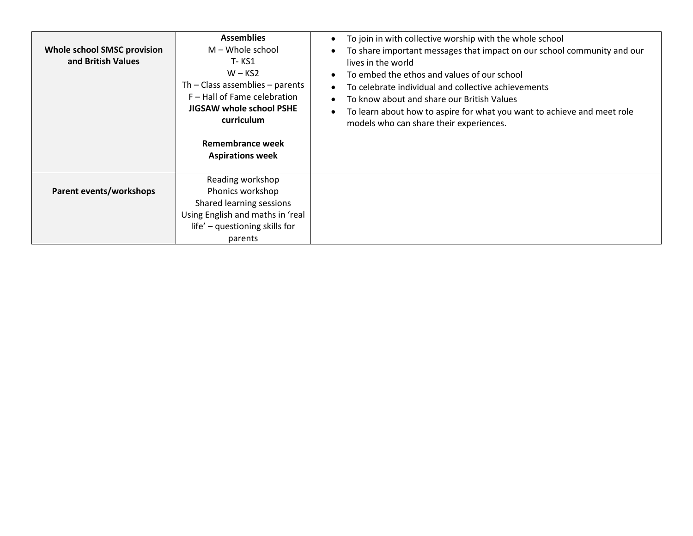| <b>Whole school SMSC provision</b><br>and British Values | <b>Assemblies</b><br>$M -$ Whole school<br>T- KS1<br>$W - KS2$<br>Th $-$ Class assemblies $-$ parents<br>F - Hall of Fame celebration<br>JIGSAW whole school PSHE<br>curriculum<br>Remembrance week<br><b>Aspirations week</b> | To join in with collective worship with the whole school<br>To share important messages that impact on our school community and our<br>lives in the world<br>To embed the ethos and values of our school<br>To celebrate individual and collective achievements<br>To know about and share our British Values<br>To learn about how to aspire for what you want to achieve and meet role<br>models who can share their experiences. |
|----------------------------------------------------------|--------------------------------------------------------------------------------------------------------------------------------------------------------------------------------------------------------------------------------|-------------------------------------------------------------------------------------------------------------------------------------------------------------------------------------------------------------------------------------------------------------------------------------------------------------------------------------------------------------------------------------------------------------------------------------|
| Parent events/workshops                                  | Reading workshop<br>Phonics workshop<br>Shared learning sessions<br>Using English and maths in 'real                                                                                                                           |                                                                                                                                                                                                                                                                                                                                                                                                                                     |
|                                                          | life' - questioning skills for<br>parents                                                                                                                                                                                      |                                                                                                                                                                                                                                                                                                                                                                                                                                     |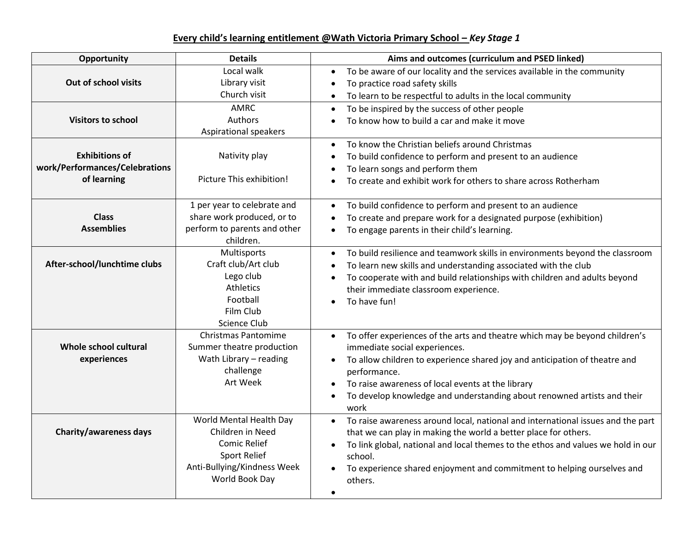## **Every child's learning entitlement @Wath Victoria Primary School –** *Key Stage 1*

| Opportunity                                                            | <b>Details</b>                                                                                                                      | Aims and outcomes (curriculum and PSED linked)                                                                                                                                                                                                                                                                                                                   |
|------------------------------------------------------------------------|-------------------------------------------------------------------------------------------------------------------------------------|------------------------------------------------------------------------------------------------------------------------------------------------------------------------------------------------------------------------------------------------------------------------------------------------------------------------------------------------------------------|
| Out of school visits                                                   | Local walk<br>Library visit<br>Church visit                                                                                         | To be aware of our locality and the services available in the community<br>To practice road safety skills<br>To learn to be respectful to adults in the local community                                                                                                                                                                                          |
| <b>Visitors to school</b>                                              | <b>AMRC</b><br>Authors<br>Aspirational speakers                                                                                     | To be inspired by the success of other people<br>To know how to build a car and make it move                                                                                                                                                                                                                                                                     |
| <b>Exhibitions of</b><br>work/Performances/Celebrations<br>of learning | Nativity play<br>Picture This exhibition!                                                                                           | To know the Christian beliefs around Christmas<br>To build confidence to perform and present to an audience<br>To learn songs and perform them<br>To create and exhibit work for others to share across Rotherham                                                                                                                                                |
| <b>Class</b><br><b>Assemblies</b>                                      | 1 per year to celebrate and<br>share work produced, or to<br>perform to parents and other<br>children.                              | To build confidence to perform and present to an audience<br>$\bullet$<br>To create and prepare work for a designated purpose (exhibition)<br>To engage parents in their child's learning.                                                                                                                                                                       |
| After-school/lunchtime clubs                                           | Multisports<br>Craft club/Art club<br>Lego club<br>Athletics<br>Football<br>Film Club<br>Science Club                               | To build resilience and teamwork skills in environments beyond the classroom<br>To learn new skills and understanding associated with the club<br>To cooperate with and build relationships with children and adults beyond<br>their immediate classroom experience.<br>To have fun!                                                                             |
| Whole school cultural<br>experiences                                   | <b>Christmas Pantomime</b><br>Summer theatre production<br>Wath Library - reading<br>challenge<br>Art Week                          | To offer experiences of the arts and theatre which may be beyond children's<br>$\bullet$<br>immediate social experiences.<br>To allow children to experience shared joy and anticipation of theatre and<br>performance.<br>To raise awareness of local events at the library<br>To develop knowledge and understanding about renowned artists and their<br>work  |
| <b>Charity/awareness days</b>                                          | World Mental Health Day<br>Children in Need<br><b>Comic Relief</b><br>Sport Relief<br>Anti-Bullying/Kindness Week<br>World Book Day | To raise awareness around local, national and international issues and the part<br>$\bullet$<br>that we can play in making the world a better place for others.<br>To link global, national and local themes to the ethos and values we hold in our<br>school.<br>To experience shared enjoyment and commitment to helping ourselves and<br>others.<br>$\bullet$ |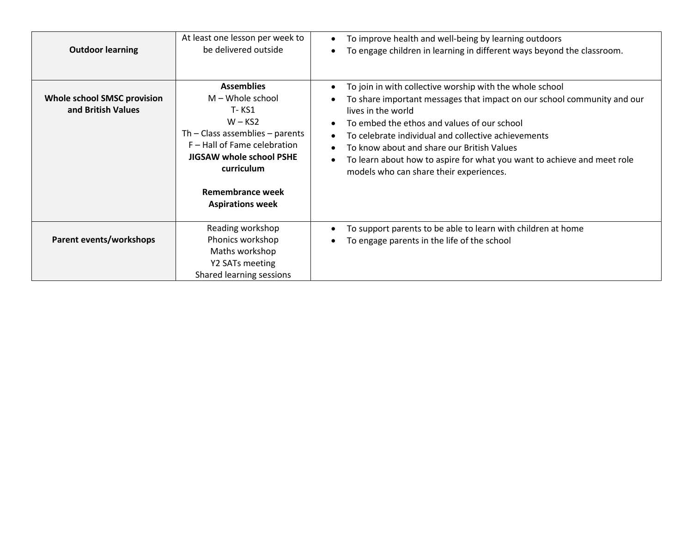| <b>Outdoor learning</b>                                  | At least one lesson per week to<br>be delivered outside                                                                                                                                                                        | To improve health and well-being by learning outdoors<br>To engage children in learning in different ways beyond the classroom.                                                                                                                                                                                                                                                                                                     |
|----------------------------------------------------------|--------------------------------------------------------------------------------------------------------------------------------------------------------------------------------------------------------------------------------|-------------------------------------------------------------------------------------------------------------------------------------------------------------------------------------------------------------------------------------------------------------------------------------------------------------------------------------------------------------------------------------------------------------------------------------|
| <b>Whole school SMSC provision</b><br>and British Values | <b>Assemblies</b><br>$M -$ Whole school<br>T- KS1<br>$W - KS2$<br>Th $-$ Class assemblies $-$ parents<br>F - Hall of Fame celebration<br>JIGSAW whole school PSHE<br>curriculum<br>Remembrance week<br><b>Aspirations week</b> | To join in with collective worship with the whole school<br>To share important messages that impact on our school community and our<br>lives in the world<br>To embed the ethos and values of our school<br>To celebrate individual and collective achievements<br>To know about and share our British Values<br>To learn about how to aspire for what you want to achieve and meet role<br>models who can share their experiences. |
| Parent events/workshops                                  | Reading workshop<br>Phonics workshop<br>Maths workshop<br>Y2 SATs meeting<br>Shared learning sessions                                                                                                                          | To support parents to be able to learn with children at home<br>To engage parents in the life of the school                                                                                                                                                                                                                                                                                                                         |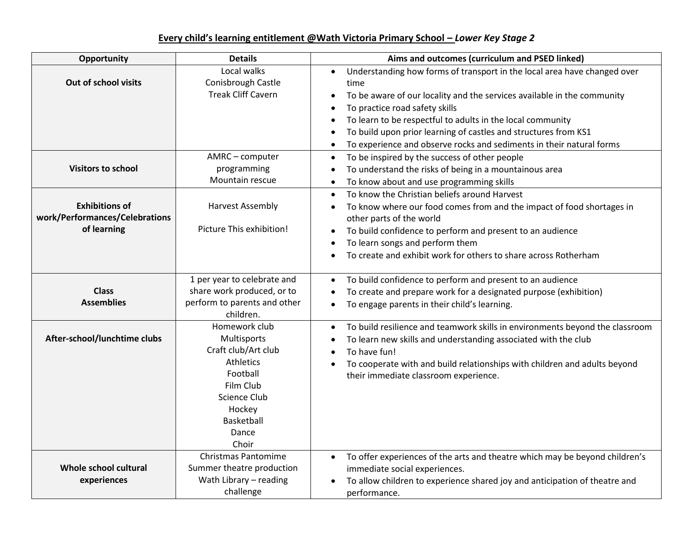## **Every child's learning entitlement @Wath Victoria Primary School –** *Lower Key Stage 2*

| Opportunity                                                            | <b>Details</b>                                                                                                                                                    | Aims and outcomes (curriculum and PSED linked)                                                                                                                                                                                                                                                                                                                                                         |
|------------------------------------------------------------------------|-------------------------------------------------------------------------------------------------------------------------------------------------------------------|--------------------------------------------------------------------------------------------------------------------------------------------------------------------------------------------------------------------------------------------------------------------------------------------------------------------------------------------------------------------------------------------------------|
| Out of school visits                                                   | Local walks<br>Conisbrough Castle<br><b>Treak Cliff Cavern</b>                                                                                                    | Understanding how forms of transport in the local area have changed over<br>time<br>To be aware of our locality and the services available in the community<br>To practice road safety skills<br>To learn to be respectful to adults in the local community<br>To build upon prior learning of castles and structures from KS1<br>To experience and observe rocks and sediments in their natural forms |
| <b>Visitors to school</b>                                              | AMRC - computer<br>programming<br>Mountain rescue                                                                                                                 | To be inspired by the success of other people<br>$\bullet$<br>To understand the risks of being in a mountainous area<br>To know about and use programming skills                                                                                                                                                                                                                                       |
| <b>Exhibitions of</b><br>work/Performances/Celebrations<br>of learning | <b>Harvest Assembly</b><br>Picture This exhibition!                                                                                                               | To know the Christian beliefs around Harvest<br>To know where our food comes from and the impact of food shortages in<br>other parts of the world<br>To build confidence to perform and present to an audience<br>To learn songs and perform them<br>To create and exhibit work for others to share across Rotherham                                                                                   |
| <b>Class</b><br><b>Assemblies</b>                                      | 1 per year to celebrate and<br>share work produced, or to<br>perform to parents and other<br>children.                                                            | To build confidence to perform and present to an audience<br>To create and prepare work for a designated purpose (exhibition)<br>To engage parents in their child's learning.                                                                                                                                                                                                                          |
| After-school/lunchtime clubs                                           | Homework club<br>Multisports<br>Craft club/Art club<br><b>Athletics</b><br>Football<br>Film Club<br>Science Club<br>Hockey<br><b>Basketball</b><br>Dance<br>Choir | To build resilience and teamwork skills in environments beyond the classroom<br>To learn new skills and understanding associated with the club<br>To have fun!<br>To cooperate with and build relationships with children and adults beyond<br>their immediate classroom experience.                                                                                                                   |
| Whole school cultural<br>experiences                                   | <b>Christmas Pantomime</b><br>Summer theatre production<br>Wath Library - reading<br>challenge                                                                    | To offer experiences of the arts and theatre which may be beyond children's<br>immediate social experiences.<br>To allow children to experience shared joy and anticipation of theatre and<br>performance.                                                                                                                                                                                             |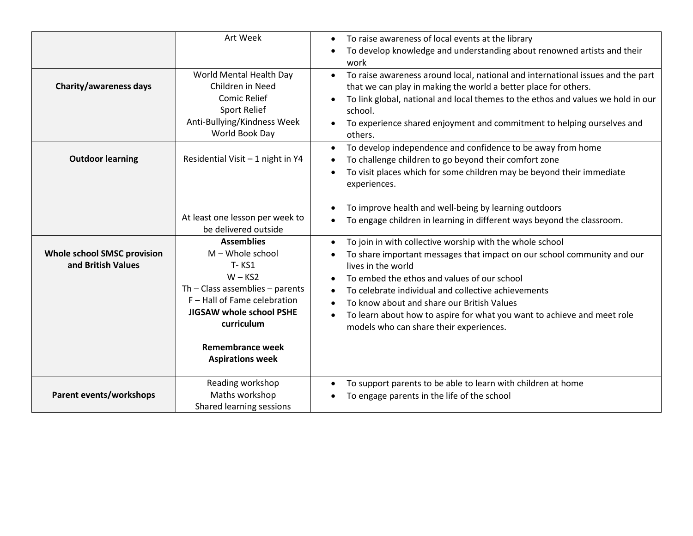|                                                   | Art Week                                                                                                                                                                                                                                    | To raise awareness of local events at the library<br>$\bullet$<br>To develop knowledge and understanding about renowned artists and their<br>work                                                                                                                                                                                                                                                                                   |
|---------------------------------------------------|---------------------------------------------------------------------------------------------------------------------------------------------------------------------------------------------------------------------------------------------|-------------------------------------------------------------------------------------------------------------------------------------------------------------------------------------------------------------------------------------------------------------------------------------------------------------------------------------------------------------------------------------------------------------------------------------|
| <b>Charity/awareness days</b>                     | World Mental Health Day<br>Children in Need<br><b>Comic Relief</b><br><b>Sport Relief</b><br>Anti-Bullying/Kindness Week<br>World Book Day                                                                                                  | To raise awareness around local, national and international issues and the part<br>that we can play in making the world a better place for others.<br>To link global, national and local themes to the ethos and values we hold in our<br>school.<br>To experience shared enjoyment and commitment to helping ourselves and<br>others.                                                                                              |
| <b>Outdoor learning</b>                           | Residential Visit - 1 night in Y4                                                                                                                                                                                                           | To develop independence and confidence to be away from home<br>To challenge children to go beyond their comfort zone<br>To visit places which for some children may be beyond their immediate<br>experiences.                                                                                                                                                                                                                       |
|                                                   | At least one lesson per week to<br>be delivered outside                                                                                                                                                                                     | To improve health and well-being by learning outdoors<br>To engage children in learning in different ways beyond the classroom.                                                                                                                                                                                                                                                                                                     |
| Whole school SMSC provision<br>and British Values | <b>Assemblies</b><br>$M -$ Whole school<br><b>T-KS1</b><br>$W - KS2$<br>Th $-$ Class assemblies $-$ parents<br>F - Hall of Fame celebration<br>JIGSAW whole school PSHE<br>curriculum<br><b>Remembrance week</b><br><b>Aspirations week</b> | To join in with collective worship with the whole school<br>To share important messages that impact on our school community and our<br>lives in the world<br>To embed the ethos and values of our school<br>To celebrate individual and collective achievements<br>To know about and share our British Values<br>To learn about how to aspire for what you want to achieve and meet role<br>models who can share their experiences. |
| Parent events/workshops                           | Reading workshop<br>Maths workshop<br>Shared learning sessions                                                                                                                                                                              | To support parents to be able to learn with children at home<br>To engage parents in the life of the school                                                                                                                                                                                                                                                                                                                         |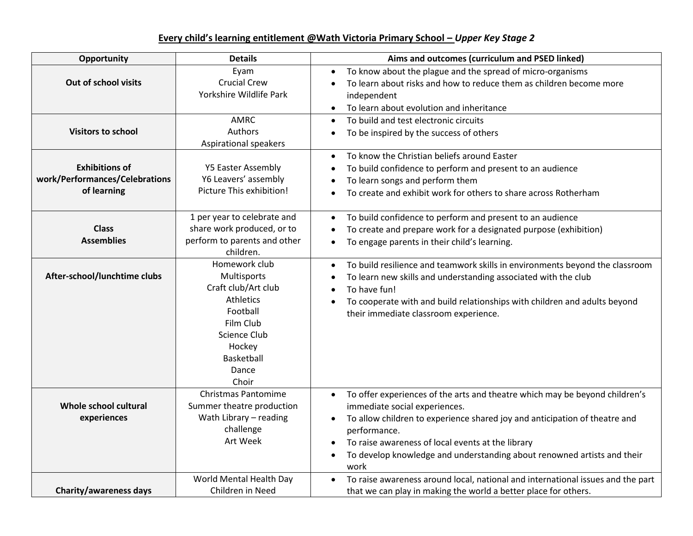## **Every child's learning entitlement @Wath Victoria Primary School –** *Upper Key Stage 2*

| Opportunity                                                            | <b>Details</b>                                                                                                                                                    | Aims and outcomes (curriculum and PSED linked)                                                                                                                                                                                                                                                                                                                  |
|------------------------------------------------------------------------|-------------------------------------------------------------------------------------------------------------------------------------------------------------------|-----------------------------------------------------------------------------------------------------------------------------------------------------------------------------------------------------------------------------------------------------------------------------------------------------------------------------------------------------------------|
| Out of school visits                                                   | Eyam<br><b>Crucial Crew</b><br>Yorkshire Wildlife Park                                                                                                            | To know about the plague and the spread of micro-organisms<br>To learn about risks and how to reduce them as children become more<br>independent<br>To learn about evolution and inheritance                                                                                                                                                                    |
| <b>Visitors to school</b>                                              | AMRC<br>Authors<br>Aspirational speakers                                                                                                                          | To build and test electronic circuits<br>To be inspired by the success of others                                                                                                                                                                                                                                                                                |
| <b>Exhibitions of</b><br>work/Performances/Celebrations<br>of learning | <b>Y5 Easter Assembly</b><br>Y6 Leavers' assembly<br>Picture This exhibition!                                                                                     | To know the Christian beliefs around Easter<br>To build confidence to perform and present to an audience<br>To learn songs and perform them<br>To create and exhibit work for others to share across Rotherham                                                                                                                                                  |
| <b>Class</b><br><b>Assemblies</b>                                      | 1 per year to celebrate and<br>share work produced, or to<br>perform to parents and other<br>children.                                                            | To build confidence to perform and present to an audience<br>To create and prepare work for a designated purpose (exhibition)<br>To engage parents in their child's learning.<br>$\bullet$                                                                                                                                                                      |
| After-school/lunchtime clubs                                           | Homework club<br>Multisports<br>Craft club/Art club<br><b>Athletics</b><br>Football<br>Film Club<br>Science Club<br>Hockey<br><b>Basketball</b><br>Dance<br>Choir | To build resilience and teamwork skills in environments beyond the classroom<br>To learn new skills and understanding associated with the club<br>To have fun!<br>To cooperate with and build relationships with children and adults beyond<br>their immediate classroom experience.                                                                            |
| Whole school cultural<br>experiences                                   | <b>Christmas Pantomime</b><br>Summer theatre production<br>Wath Library - reading<br>challenge<br>Art Week                                                        | To offer experiences of the arts and theatre which may be beyond children's<br>$\bullet$<br>immediate social experiences.<br>To allow children to experience shared joy and anticipation of theatre and<br>performance.<br>To raise awareness of local events at the library<br>To develop knowledge and understanding about renowned artists and their<br>work |
| <b>Charity/awareness days</b>                                          | World Mental Health Day<br>Children in Need                                                                                                                       | To raise awareness around local, national and international issues and the part<br>that we can play in making the world a better place for others.                                                                                                                                                                                                              |